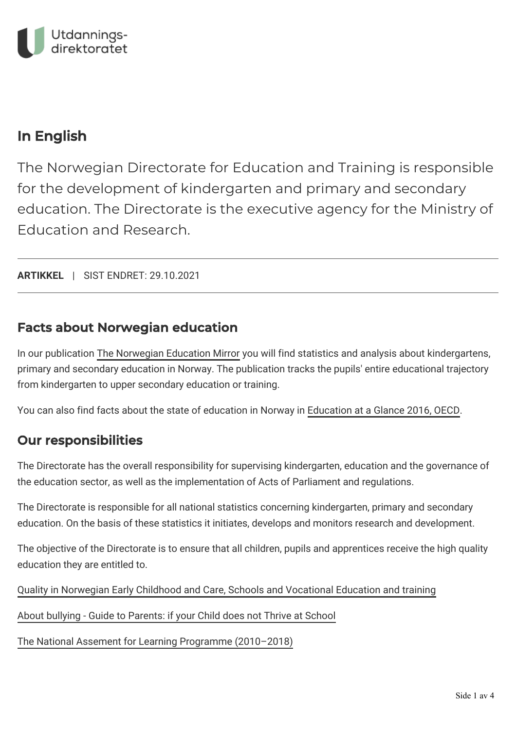

## In English

The Norwegian Directorate for Education and Training is responsible for the development of kindergarten and primary and secondary education. The Directorate is the executive agency for the Ministry of Education and Research.

**ARTIKKEL** | SIST ENDRET: 29.10.2021

### Facts about Norwegian education

In our publication [The Norwegian Education Mirror](https://www.udir.no/in-english/education-mirror-2019/) you will find statistics and analysis about kindergartens, primary and secondary education in Norway. The publication tracks the pupils' entire educational trajectory from kindergarten to upper secondary education or training.

You can also find facts about the state of education in Norway in [Education at a Glance 2016, OECD](http://www.keepeek.com/Digital-Asset-Management/oecd/education/education-at-a-glance-2016/norway_eag-2016-73-en#.We3oR8sUmUl).

### Our responsibilities

The Directorate has the overall responsibility for supervising kindergarten, education and the governance of the education sector, as well as the implementation of Acts of Parliament and regulations.

The Directorate is responsible for all national statistics concerning kindergarten, primary and secondary education. On the basis of these statistics it initiates, develops and monitors research and development.

The objective of the Directorate is to ensure that all children, pupils and apprentices receive the high quality education they are entitled to.

[Quality in Norwegian Early Childhood and Care, Schools and Vocational Education and training](https://www.udir.no/in-english/Quality-in-ECEC-Schools-and-Vocationa-Education-and-training/)

[About bullying - Guide to Parents: if your Child does not Thrive at School](https://www.udir.no/laring-og-trivsel/mobbing/guide-til-skoleforeldre-med-barn-som-ikke-har-det-bra-pa-skolen/guide-for-parents-if-your-child-does-not-thrive-at-school/)

[The National Assement for Learning Programme \(2010–2018\)](https://www.udir.no/contentassets/977da52955c447bca5fc419d5be5e4bf/the-norwegian-assessment-for-learning-programme_final-report-2018.pdf)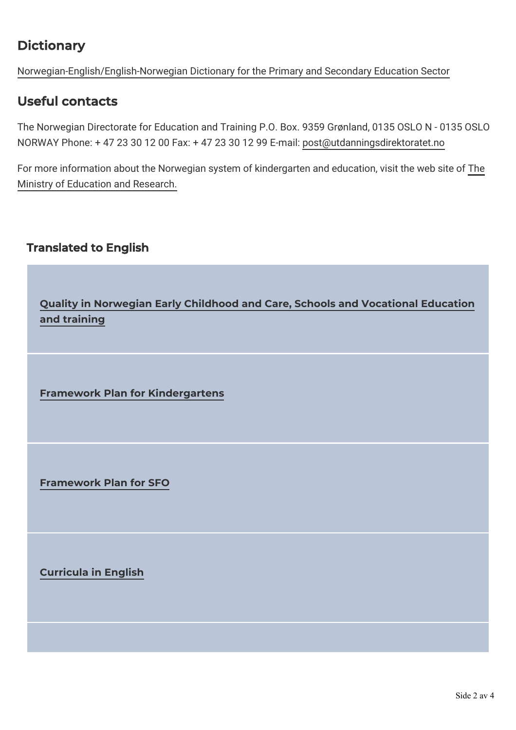# **Dictionary**

[Norwegian-English/English-Norwegian Dictionary for the Primary and Secondary Education Sector](https://www.udir.no/verktoy/ordbok/)

### Useful contacts

The Norwegian Directorate for Education and Training P.O. Box. 9359 Grønland, 0135 OSLO N - 0135 OSLO NORWAY Phone: + 47 23 30 12 00 Fax: + 47 23 30 12 99 E-mail: [post@utdanningsdirektoratet.no](mailto:post@utdanningsdirektoratet.no)

[For more information about the Norwegian system of kindergarten and education, visit the web site of The](https://www.regjeringen.no/en/dep/kd/id586/) Ministry of Education and Research.

### Translated to English

**[Quality in Norwegian Early Childhood and Care, Schools and Vocational Education](https://www.udir.no/in-english/Quality-in-ECEC-Schools-and-Vocationa-Education-and-training/) and training**

**[Framework Plan for Kindergartens](https://www.udir.no/link/cc95df003e8c40c1946ed2fc9d25ddab.aspx)**

**[Framework Plan for SFO](https://www.udir.no/link/dade321f6c674d828b012923e1b7d4b0.aspx)**

**[Curricula in English](https://www.udir.no/in-english/curricula-in-english/)**